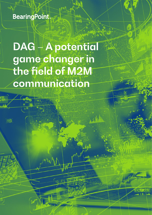**BearingPoint** 

DAG-A potential game changer in the field of M2M communication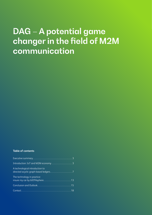# DAG – A potential game changer in the field of M2M communication

#### **Table of contents**

| Introduction: IoT and M2M economy  3 |
|--------------------------------------|
| A technological introduction to      |
| The technology in practice:          |
|                                      |
|                                      |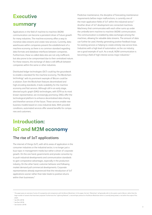## **Executive** summary

Applications in the field of machine-to-machine (M2M) communication can become a persistent driver of future growth for many industries. The machine economy offers a way to monetize data streams and create new services. Currently, data warehouses within companies prevent the establishment of a machine economy, as there is no common standard regarding data formats and database interfaces between companies. Furthermore, these so-called data silos are not only inefficient, but also prone to be compromised due to their centralized nature. For these reasons, the exchange of data is still difficult between companies within the same or other industries.

Distributed ledger technologies (DLT) could lay the groundwork to enable a standard for the machine economy. The Blockchaintechnology<sup>1</sup> with its prominent example of Bitcoin could be a solution. Even the Blockchain features decentralized and high encoding standards, it lacks scalability for the machine economy and fast services. Although still in an early stage, directed acyclic graph (DAG) technologies, with IOTA as its most known representative, are increasingly promising. DAGs offer the technological platform to enhance decentralized data sharing and therefore services of the future. These services enable new business models based on cross-industrial data. With provided conditions, automated services offer several benefits for companies and customers.

## Introduction: IoT and M2M economy

### **The rise of IoT applications**

The internet of things (IoT), with all its areas of application in the consumer industries or the industrial sector, is no longer just a buzz topic in management media but rather a driver of corporate growth. On the one hand, governments and private consortia try to push industrial developments and communication standards to gain comparative advantages, especially in the production industry. On the other hand, customer behavior and following market demand pull commercial developments. Corporate representatives already experienced that the introduction of IoT applications sooner rather than later leads to positive returns within their businesses.<sup>2</sup>

Predictive maintenance, the discipline of forecasting maintenance requirements before major malfunctions, is currently one of the main application fields of IoT within the industrial sector.<sup>3</sup> Another driver of IoT development are connected machines. Machinery that communicates with each other sums up under the umbrella term machine to machine (M2M) communication. The communication is enabled by data exchanges among the machines, allowing for valuable data streams. The amount of data can further be used, thereby generating positive feedback loops for existing services or helping to create entirely new service lines. Industries with a high level of automation, as the car industry, are a good example of such. As a result, M2M communication is becoming a field of high interest across major industries. 4

<sup>&</sup>lt;sup>1</sup> This paper gives an overview of some of its properties and comparisons with the Bitcoin-Blockchain. In this paper, the term "Blockchain" will generally refer to the system used in Bitcoin, rather than the large number of variants that have been proposed. Furthermore the "Lightning-Network", a second-layer protocol on the Bitcoin-Blockchain which is currently being tested, is not within the scope of this paper.

<sup>2</sup> See IDG (2018)

<sup>3</sup> See Paul (2018)

<sup>4</sup> See Gartner (2018)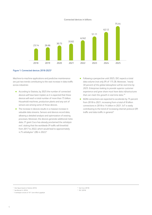#### Connected devices in billions



#### Figure 1: Connected devices 2018-20255

Machine-to-machine applications and predictive maintenance are just two trends contributing to the vast increase in data traffic across industries:

- According to Statista, by 2025 the number of connected devices will have been tripled, as it is expected that these devices will reach a total number of more than 75 billion. Household machines, production plants and any sort of sensors are among some of those devices.
- The increase in devices results in a massive increase in valuable data streams. Sensors and devices record data, allowing a detailed analysis and optimization of existing processes. Moreover, the devices generate additional meta data. IT giant Cisco has already proclaimed the *zettabyte*  era<sup>6</sup>, stating that the worldwide IP traffic will threefold from 2017 to 2022, which would lead to approximately  $4.75$  zettabytes<sup>7</sup> (ZB) in 2022.8
- Following a perspective until 2025, IDC expects a total data volume (not only IP) of 175 ZB. Moreover, *"nearly 30 percent of the global datasphere will be real-time by 2025. Enterprises looking to provide superior customer experience and grow share must have data infrastructures that can meet this growth in real-time data."*<sup>9</sup>
- M2M connections are expected to accelerate by 75 percent from 2018 to 2021, increasing from a total of 8 billion connections in 2018 to 14 billion in 2021. IoT is vastly contributing to the trend of increasing internet protocol (IP) traffic and data traffic in general. 8

<sup>8</sup> See Cisco (2018) <sup>9</sup> IDC (2018)

<sup>5</sup> Own figure based on Statista (2016)

<sup>6</sup> See Barnett Jr. (2016)

 $7$  A zettabyte consists of 10<sup>11</sup> (one trillion) gigabyte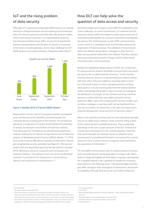## **IoT and the rising problem of data security**

Although IoT in general and especially M2M solutions are already starting to change businesses and the existing service landscape, there are still some general issues that discomfit decision-makers and to some extinct customers. In a representative survey by the International Data Group (IDG), 44 percent of questioned business representatives rank the topic of security, for example in the sense of unsafe gateways, as the major challenge for IoT/ M2M solutions and implementations, followed by data safety.<sup>10</sup>



#### Figure 2: Notable 2016 IoT botnet DDOS attacks<sup>11</sup>

Keeping that in mind, most IoT ecosystems exhibit a centralized server architecture which identifies and authenticates the individual devices as being part of the network. This architecture represents a single point of interest and facilitates the possibility of attacks, for example in the fashion of brute force attacks. That being said, IoT end-devices are directly being targeted by malware, adding the IoT devices to large botnets which follow the purpose of distributed denial of service (DDoS) attacks. 12 In 2016 an increase of about 200 percent capacity of infected IoT devices got recognized by security specialists (see figure 2). This became evident with the large DDoS attack by the Dyn botnet in October 2016, affecting a variety of companies such as Amazon and Deutsche Telekom. 13 According to Cisco *"one of the fundamental elements in securing an IoT infrastructure is around device identity and mechanisms to authenticate it.*"14

### **How DLT can help solve the question of data access and security**

Distributed ledger technologies could inhibit the highlighted (and more) challenges. In current architectures, IoT networks and the respective devices within the network usually require some sort of centralized authentication as a process to generate trust between the devices. DLT, exhibiting peer-to-peer (P2P) communication, is not in need of a centralized server and therefore removes the single point of failure by design. The validation of transmissions within the network, being tokens, messages or other forms of data, are assured by nodes within the network. Therefore, devices, users and transmissions would no longer need to authenticate themselves with a central authority.

Besides the highlighted design feature of DLTs, the combination of cryptocurrencies (tokens) and M2M communication also paves the way for the so-called machine economy. 15 In the machine economy devices, sensors or in general electronic objects interact with each other. They are enabled to exchange data in return for a (financial) reward. A classic example would be a rooftop solar panel on a house receiving data from the nearest weather station and thereby being able to align its panels accordingly to the distribution of sunlight. In the machine economy, machines become an entity with their own wallet and profit and loss statement (P&L). Due to the underlying DLT, all sorts of data, such as tokens, messages or raw data itself, can be transferred from one user to another. As mentioned, a user does not need to be a physical individual but can be any form of electronic object.<sup>16</sup>

Most of the machine economy, such as in the solar panel example, rests on so called smart contracts. Smart contracts follow a fixed *if-then* reasoning with a predefined process. They usually take advantage of the peer-to-peer structure of the DLT network and remove every third party from the contract equation. Given the solar panel example, the machine checks its utilization every morning and, if a predefined threshold is not reached for a certain amount of time, a smart contract is triggered, which will lead to the acquisition of information. 17

IoT and M2M communication rely on a dense network of sensors and connected devices, exchanging data on a large scale, which leads to a large throughput of information. Logically, a prerequisite for a capable network is the capability to handle the increasing data streams in the following years. 18 Distributed ledger technologies differ strongly in their throughput of transactions, also known as scalability. Although DLTs are by far not limited to financial

#### <sup>10</sup> See IDG (2018)

<sup>11</sup> Own figure based on Sutherland (2017)

<sup>12</sup> A brute force attack is a trial-and-error method used to obtain information such as a user password or personal identification number (PIN). In a brute force attack, automated software is used to generate a large number of consecutive guesses as to the value of the desired data. Brute force attacks may be used by criminals to crack encrypted data, or by security analysts to test an organization's network security. (www.techopedia.com/definition/18091/brute-force-attack).

<sup>13</sup> See Sutherland (2017)

<sup>14</sup> Cisco (2015)

<sup>15</sup> Please see BearingPoint publication: Initial Coin Offerings – Tokens im Kontext der Shared Economy

<sup>16</sup> See Rouse (2018) or Commonwealth Bank of Australia (2017)

<sup>17</sup> See Küfner (2018) for an overview regarding smart contracts

<sup>18</sup> See Shields (2017)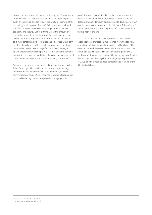transactions in the form of tokens, the throughput of other forms of data exhibits the same restrictions. The throughput depends partly on the design and difficulty of the safety mechanism of the technology, such as proof of work (PoW), as well as the allowed size of transactions, thereby representing a tradeoff between scalability and security. Difficulty translates to the amount of computing power, therefore time, and the relative energy usage needed for the security mechanism of the solution. That being said, most sensors and other small connected devices, which communicate heavily, only exhibit a limited amount of computing power and in some cases battery-life. The PoW of the original Bitcoin-Blockchain is an example of a resource and time demanding security mechanism. In addition, blocks are capped to a size of 1 Mb, further limiting the amount of data being transmitted. 19

An energy and time demanding security mechanism such as the PoW of the original Bitcoin-Blockchain makes the technology poorly suitable for highly frequent data exchanges, as M2M communication requires. Some modified Blockchain-technologies try to tackle the high computing power by changing from a

proof of work to a proof of stake or other consensus mechanisms. The fundamental design, being the creation of blocks, does not change. Moreover, it is suggested to develop a *"layered architecture which supports thin clients to allow IoT devices with limited resources to store only a portion of the Blockchain"*20, a feature not yet present.

M2M communication has a high potential to further flourish existing services or create entire new ones. Nevertheless, with centralized points of failure, data security is still an issue. DLTs could hit the mark, however, they exhibit some limitations. The limitations could be tackled by directed acyclic graph (DAG) solutions, another form of distributed ledger technology. Keeping that in mind, the following chapter will highlight key features of DAGs, also by a head-to-head comparison to features of the Bitcoin-Blockchain.

<sup>19</sup> See Conoscenti, Vetrò, & De Martin (2016)

<sup>20</sup> Conoscenti, Vetrò, & De Martin (2016), p. 5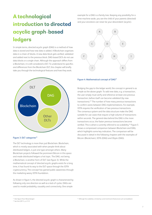## A technological introduction to directed acyclic graph-based ledgers

In simple terms, directed acyclic graph (DAG) is a method of how data is stored and how new data is added. A Blockchain organizes data in a chain of blocks. A new data block gets verified, validated and added next to the previous block. DAG-based DLTs do not use data blocks or a single chain. Although the approach differs from a Blockchain, it is still considered a DLT. To understand its specifics and differences from the Blockchain DLT, this chapter will briefly take you through the technological features and how they work.



#### Figure 3: DLT categories<sup>21</sup>

The DLT technology is more than just Blockchain. Blockchain, which is mostly associated with when people think about distributed ledgers, is just one type amongst others. Many Blockchain projects followed the prominent Bitcoin in this space and made distributed ledgers a hot topic. The DAG, not being a Blockchain, is another form of DLT (see figure 3). While the mathematical concept of directed acyclic graphs exists for a long time, it has found its way to the DLT-space through the IOTA cryptocurrency. The concept has gained public awareness through the marketing weary IOTA foundation.

As shown in figure 4, the directed acyclic graph is characterized by following only one direction as well as a lack of cycles. DAGs are used to model probability, causality and connectivity. One simple

example for a DAG is a family tree. Keeping any possibility for a time machine aside, you are the child of your parents (directed) and your ancestors can never be your descendant (acyclic).



#### Figure 4: Mathematical concept of DAG<sup>21</sup>

Bridging the gap to the ledger world, the concept in general is as simple as the above graph: To add new data, e.g. a transaction, the user simply must verify and reference at least one previous transaction, before itself can become validated (by new transactions). 22 The number of how many previous transactions to confirm varies between DAG implementations. For example, IOTA requires the verification of two previous transactions. The consensus system and the data structure make the DAG suitable for use cases that require a high volume of transactions within seconds. The general idea behind the DAG is the more transactions occur, the faster previous transactions become verified. This is what is currently referred to as scalability.<sup>23</sup> Figure 5 shows a compressed comparison between Blockchain and DAG, which highlights some key indicators. The comparison will be discussed in detail in the following chapters with the examples of Bitcoin (Blockchain), IOTA (DAG) and Obyte (DAG).

<sup>21</sup> Own figure (Franz Weisenberger)

<sup>22</sup> See Sink (2011), p. 47-51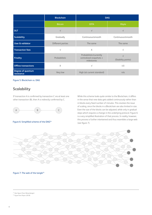|                                        | <b>Blockchain</b> | <b>DAG</b>                                                       |                                  |
|----------------------------------------|-------------------|------------------------------------------------------------------|----------------------------------|
|                                        | <b>Bitcoin</b>    | <b>IOTA</b>                                                      | Obyte                            |
| <b>DLT</b>                             | $\sqrt{}$         | $\sqrt{ }$                                                       | $\sqrt{}$                        |
| <b>Scalability</b>                     | Gradually         | Continuous/smooth                                                | Continuous/smooth                |
| <b>User &amp; validator</b>            | Different parties | The same                                                         | The same                         |
| <b>Transaction fees</b>                | $\sqrt{}$         | $\times$                                                         | $\sqrt{}$                        |
| <b>Finality</b>                        | Probabilistic     | Probabilistic/currently<br>centralized snapshots +<br>milestones | $\sqrt{ }$<br>(Stability points) |
| <b>Offline transactions</b>            | X                 | $\sqrt{ }$                                                       | $(\vee)$                         |
| <b>Degree of quantum</b><br>resistance | Very low          | High (at current standard)                                       | n/a                              |

Figure 5: Blockchain vs. DAG

### **Scalability**

If transaction A is confirmed by transaction C via at least one other transaction (B), then A is indirectly confirmed by C.



Figure 6: Simplified scheme of the DAG<sup>24</sup>

While this scheme looks quite similar to the Blockchain, it differs in the sense that new data gets added continuously rather than in blocks every fixed number of minutes. This resolves the issue of scaling, since the blocks in a Blockchain are also limited in size. Even the size of the blocks can be adjusted, while only in gradual steps which requires a change in the underlying protocol. Figure 6 is a very simplified illustration of that process. In reality, however, this process is further intertwined and thus resembles a large web (see figure 7).



#### Figure 7: The web of the tangle<sup>25</sup>

<sup>24</sup> Own figure (Franz Weisenberger)

<sup>25</sup> Figure from Popov (2018)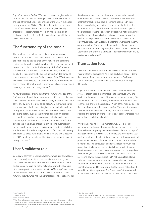Figure 7 shows the DAG of IOTA, also known as tangle (and thus its name becomes clearer looking at the intertwined nature of the web of transactions). The principles of the DAG in this paper mostly refer to the DAG of IOTA, since the project has received a lot of attention in the last months. The tangle is actually a theoretical concept whereas IOTA is an implementation of that concept using different features which are currently being developed and tested.

#### **The functionality of the tangle**

The tangle uses the rule of two confirmations, meaning a transaction must first confirm and refer to two previous transactions before being published to the network and becoming confirmed. The dark grey circles on the right end are unconfirmed transactions called tips. At the beginning of the DAG, there is a genesis-transaction, which is confirmed directly or indirectly by all other transactions. The genesis-transaction distributed all tokens to several addresses. In the concept of the IOTA-tangle, no new tokens will be created. This means, that the total number of tokens is limited from the start. Furthermore, tokens are pre-mined, resulting in no new ones being created.<sup>26</sup>

As new transactions are made within the network, the size of the DAG increases. Especially for high-volume traffic, this could mean a vast need of storage to store all the history of transactions. IOTA solves this by using a feature called *snapshot*. This feature saves the balances of all addresses at a given point and deletes all the history. As in the IoT-environment, devices do not need to know about the history, but only the current balance of an address. By now, these snapshots are organized centrally, so all nodes take a snapshot at the same time. The aim of IOTA is to further develop this function, so snapshots can be done automatically by every node when they need to (local snapshot). Especially for small nodes with smaller storage units, this function could be very beneficial. So-called *permanodes* would store the whole history of the IOTA-tangle, in order to use the history for e.g. audit or credit history purposes. 27

#### **User & validator role**

Contrary to common Blockchain systems, where user and validator roles are usually separate parties, there is only one party in a DAG-based network. User and validator are the same. To create and publish a transaction to the network, one must first confirm at least one previous transaction (two in IOTAs tangle) as a return of consideration. Therefore, a user directly contributes to the networks security when making a transaction. The so-called nodes

then have the task to publish the transaction into the network, after they made sure that the transaction will not conflict with another transaction (e.g. double spending patterns). In case there is a conflicting transaction, the node usually declines the transaction to be published. Nodes would still be able to publish the transaction, but the transaction probably will not be confirmed by other nodes who publish transactions. The more transactions confirm the respective transaction, the safer it is considered to be. 27 Obyte (previously Byteball) is another network using the DAG as data structure. Obyte incentivizes users to confirm as many previous transactions as they want, but it would be also possible to just confirm one previous transaction. The incentive is monetary by receiving a small reward. 28

### **Transaction fees**

To ensure a network or system is self-sufficient, there must be an incentive for the participants. As in the Blockchain-based ledgers, the concept of fees play an important role in the DAG-based ledger technology. However, projects implement the concept differently.

Obyte uses a reward system with its native currency unit called *bytes*. To attach data, e.g. a transaction to the Obyte-DAG, one has to pay the equal amount of the size in the native currency. To calculate the data size, it is always assumed that the transaction confirms two previous transactions. 29 A part of the fee paid goes to the user, who confirms the transaction first. Therefore, the system incentivizes users to confirm as many recent transactions as possible. The other part of the fee goes to so-called *witnesses*, who are trusted users in the network.<sup>30</sup>

IOTAs tangle has no fees in a monetary way. Users merely undertake a small proof-of-work calculation. The main purpose of this mechanism is spam-protection and resembles the concept of *hashcash*31 in the e-mail context. Therefore, the only fee that users must account for is the electricity needed for a little computational power. While this fee is of rather indirect nature, it is worthwhile to mention it. This computation undertaken requires much less power than similar process of the Blockchain-based ledger and therefore constitutes a much more sustainable practice regarding environment, but especially also for small IoT-sensors with low processing power. The concept of IOTA not having fees, allows it also as a high-frequency communication tool to exchange information other than transactions. The proof-of-work of IOTA cannot be compared to the one used in the Bitcoin network, as it is used for a different purpose. The Bitcoin proof of work is used to determine who is entitled to verify the next block. As all miners

<sup>26</sup> See Popov (2018)

<sup>27</sup> See Moog (2018)

<sup>28</sup> See Churyumov (2016)

<sup>&</sup>lt;sup>29</sup> The referenced transactions are included in the data package and therefore increase the data size. As the fee to add data to the Obyte-DAG depends on the size of the data, it would be counterproductive to pay for any additional transaction. Even referencing more than one, the fee is calculated for only two transactions.

<sup>30</sup> See Churyumov (2016)

<sup>31</sup> Hashcash is a proof-of-work algorithm, which has been used as a denial-of-service counter measure technique in a number of systems. (Source: http://www.hashcash.org/)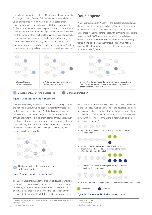compete for that entitlement, the Bitcoin proof-of-work accounts for a large amount of energy. While there are other Blockchains using an improved proof-of-work or alternatives like proof-ofstake, the two-party approval process will always imply a need for fee to incentivize the players to participate in this system with validation. As Blockchains are having a limited block size, fees will rise if the amount of transactions fitting into a single block reaches the upper limit or even surpasses the block size. Miners only pick transactions to verify where they can collect the highest fees, leading to transactions with low fees left in the *mempool*32, as long as transaction activity will not decrease or the block size increases.



Double spend/Conflicting transactions **Dishonest transaction** 



#### Figure 8: Double spend in the IOTA-tangle<sup>34</sup>

Obyte includes every transaction in its network, but only considers the first one as valid, by using a serial number for transactions posted from one user (see figure 9). It is also possible not to use a serial number. In this case, the order will be determined through the system of a main chain later and through previously mentioned witnesses. There can even be several main chains, the chain including the most transaction of witnesses is considered more real. The transaction which first gets confirmed by this mainchain is treated as valid. 35



Double spend/Conflicting transactions with serial number

#### Figure 9: Double spend in the Obyte-DAG<sup>34</sup>

The Bitcoin-Blockchain solves the problem of double-spending by maintaining a chronologically-ordered and timestamped ledger. Conflicting transactions cannot be included in the same block and later blocks that contain a conflicting transaction cannot reference to the previous block. If the conflicting transactions are

<sup>32</sup> Mempool: The aggregate size of transactions waiting to be confirmed (Source: blockchain.com) 33 See Popov (2018)

each included in different blocks, which both directly reference to the same previous block, only one of the double spend-blocks will become confirmed by the following blocks. The other block will become an abandoned block (see figure 10). Therefore, one should wait for several confirmations by following blocks before accepting a payment.<sup>36</sup>

Whereas Obyte and IOTA both use the directed acyclic graph as database structure, the systems have different implementations as already noticeable in the previous paragraphs. This is also highlighted in the manner they deal with conflicting transactions (double spend). IOTA uses a scheme, which is mostly based on honesty. A transaction should only confirm non-conflicting transactions, as otherwise the transaction itself will not be confirmed by other *"honest"* users, resulting in an orphaned



**Double spend**

a) Initial state of the Blockchain in which all transactions are considered as valid



b) Honest nodes continue extending the valid chain (green circles), while the attacker secretly starts mining a fraudulent branch (blue circle).



c) The attacker succeeds in making the fraudulent branch longer than the honest one.



d) The attacker's branch is published and is now considered the valid one.



Figure 10: Double spend in the Bitcoin-Blockchain<sup>37</sup>

<sup>37</sup> Own figure based on Sameeh (2016)

<sup>34</sup> Own figure (Franz Weisenberger)

<sup>&</sup>lt;sup>35</sup> See Churyumov (2016)

<sup>36</sup> See Nakamoto (2008)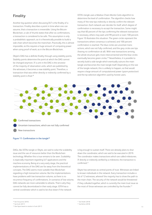### **Finality**

Another big question when discussing DLT is the finality of a transaction. Finality describes a point in time when one can assume, that a transaction is irreversible. Using the Bitcoin-Blockchain, a rule of thumb states that after six confirmations, a transaction is considered to be safe. This assumption is only a probabilistic approach, as it is theoretically possible to build a side-chain which becomes the mainchain. Practically, this is almost impossible, as this requires a huge amount of computing power when using proof-of-work, as in the Bitcoin-Blockchain.

Obyte's DAG has a definite finality through using stability points. Stability points determine the point at which the DAG cannot be changed anymore. If a unit in the DAG is the ancestor of the majority of observation units, which are published by the witnesses, it becomes a new stability point. Therefore, a transaction that was either directly or indirectly confirmed by a stability point is final.<sup>38</sup>

IOTA's tangle uses a Markov-Chain-Monte-Carlo-algorithm to determine the level of confirmation. The algorithm checks how many of the new tips indirectly or directly confirm the relevant transaction. Each network user decides for itself, which degree of confirmation is necessary to accept the transaction. Some might say that 60 percent of the tips confirming the relevant transaction is necessary, others may wait until 99 percent or even 100 percent. Figure 10 illustrates this situation: The green circles represent the transactions where consensus is achieved, and 100 percent confirmation is reached. The blue circles are uncertain transactions, which are not fully confirmed, and the grey circles are tips (having no confirmation at all). With new transactions arriving, the whole structure gets more interconnected and the blue circles eventually become green circles.<sup>39</sup> Nevertheless, it is possible to secretly build a side tangle which eventually outruns the main tangle and becomes the main tangle itself. Depending on the size of the tangle-network, this is unlikely to happen, as that would require a large amount of computational power (*spam-protection*) and the tip-selection algorithm used by honest users.



Confirmed transactions

Uncertain transactions, which are not fully confirmed

New transactions

#### Figure 11: Confirmation in the tangle<sup>40</sup>

DAGs, like IOTAs tangle or Obyte, are said to solve the scalability issue and the use of resources better than the Blockchain technology. Whether this is true remains to be seen. Scalability is especially important regarding IoT applications and the machine economy. Being at a very early stage, the practical implementations of the DAG are far away from the theoretical concepts. The DAG seems more suitable than Blockchain regarding a high transaction volume. But the implementations have problems with low transaction volume, as there is no recurrence frequency of confirmations. In scenarios of low volume, DAG networks are more vulnerable to attacks. That is why they cannot be fully decentralized in their early stage. IOTA has a central coordinator which is said to be shut down if the network

is big enough to sustain itself. There are already plans to shut down the coordinator, which are said to be executed in 2019. The coordinator makes transactions which are called milestones. If directly or indirectly verified by a milestone, the transaction is confirmed. 41

Obyte has witnesses as central points of trust. Witnesses are linked to known individuals in the network. Every transaction includes a list of 12 witnesses, whereof the majority has to show the path to the main chain. The security of the network would be threatened if they colluded together, which is currently the main trust issue as the most of those witnesses are controlled by the founder.<sup>42</sup>

11

<sup>38</sup> See Churyumov (2016)

<sup>39</sup> See Scott (2017)

<sup>40</sup> Own figure based on *stardust* in Scott (2017)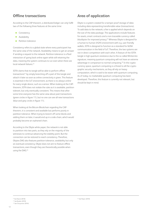#### **Offline transactions**

According to the CAP-theorem, a distributed ledger can only fulfill two of the following three features at the same time:

- Consistency
- Availability
- Partition tolerance

Consistency refers to a global state where every participant has the same view of the network. Availability means to get an answer if sending a request to the network. Partition-tolerance is a fluid interaction of going back online again while still retaining the data, meaning the system continues to run even when there are local network failures. 43

IOTA claims that its tangle will be able to perform offline transactions<sup>44</sup> by simply branching off a part of the tangle and attach it later as soon as online connectivity is given. This feature is essential in the IoT-environment, as there is no *always-online* for every single device, such as a sensor. When looking at the CAPtheorem, IOTA does not violate the rules as it is available, partition tolerant, but only eventually consistent. This means that after some time everyone has the same view about past transactions (green circles in figure 11), but no one can see all new transactions (blue and grey circles in figure 11).

When looking at the Bitcoin-Blockchain regarding the CAPtheorem, it is consistent and available but performs poorly in partition tolerance. When trying to branch off some blocks and adding them on later, it would end up in a side-chain, which would probably become an orphaned chain.

According to the Obyte white paper, the network is not able to partition into two parts, as they rely on the majority of the witnesses to continue advancing the stability point. But the connection can be restored to reach consistency. Therefore, Obytes DAG also features partition tolerance, availability but only an eventual consistency. Obyte does not aim to feature offline transactions, even though they are theoretically possible when using the DAG. 45

### **Area of application**

Obyte is a system created for a tamper proof storage of data including data representing transferrable value (transactions). To add data to the network, a fee is applied which depends on the size of the data package. The applications include features for assets, smart contracts and a non-traceable currency called *blackbytes* for improved privacy. 45 Whereas Obyte is designed for a human to human (H2H) environment with e.g. user-friendly wallets, IOTA is designed to function as a standard for M2Mcommunication in the field of IoT. Therefore, the two systems are not in direct competition with each other. A feature of the IOTAtangle is high quantum-resistance due to the so called Winternitzsignature, meaning quantum computing will not have an extreme advantage in comparison to normal computing. 46 In the cryptocurrency space, quantum computing is a threat to all the cryptographic security mechanisms, as they all rely on heavy computation, which is said to be easier with quantum computing. As of today, no marketable quantum computing has been developed. Therefore, this feature is currently not relevant, but should be kept in mind.

12

<sup>43</sup> See Nazrul (2018)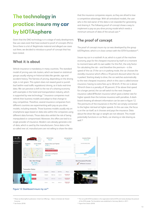## The technology in practice: insure my car by bIOTAsphere

Given that the DAG technology is in a stage of early development, few use cases exist that have evolved to proof of concepts (PoCs). Since there is a lot of illegitimate material and alleged use cases out there, we decided to introduce a proof-of-concept that has been tested.

#### **What it is about**

Vehicle insurance is mandatory in many countries. The standard model of pricing uses risk clusters, which are based on statistical groups usually relying on historical data like gender, age and accident history. The fairness of pricing, depending on the driving style, is not given. This system does not reward *good* or punish *bad* (within road traffic regulations) driving, as it lacks real-time data. We can perceive a shift to the rise of a sharing economy with examples in the hotel and transportation industry, which is supported by new technology.<sup>47</sup> Insurance companies must rethink their business models and adapt to that change to stay competitive. Therefore, several insurance companies from different countries are experimenting with pay-as-you-drive models, including rewards. Those business models usually rely on smartphone apps based on data silos within the companies using different data formats. Those data silos exhibit the risk of being manipulated or compromised. Moreover, the offers are tied to a single provider of insurance. Modern cars already generate a lot of data, which is used by the manufacturers. Since data is the so-called *new oil*, manufacturers are not willing to share the data

that the insurance companies require, as they are afraid to lose a competitive advantage. With all centralized models, the user who is the real owner of the data is not rewarded for generating and sharing it. The following proof-of-concept shows a way to implement a pay-as-you-drive pricing model which needs a minimum amount of data of the actual user. 48

### **The proof of concept**

The proof of concept *insure my car* was developed by the group bIOTAsphere, which is in close contact with the IOTA foundation<sup>49</sup>.

Insure my car in a nutshell: A car, which is a part of the machine economy, pays for the cheapest insurance by itself on a moment to moment basis with its own wallet. For this PoC, the only factor for calculating the risk – and therefore the premium – is the speed of the car. If the car is in parking mode, the car chooses the *standby insurance* which offers a 70 percent discount when the car is parked. Starting slowly to drive, the car switches automatically to the next cheapest insurance, which in this case is called *tortoise insurance*, having no extra fees up to 30 km/h. If the car is above 30 km/h there is a penalty of 30 percent. If far above that speed for a longer period, the car will switch to the next cheapest insurance called *BFRocket insurance* which gives a better rate for higher speeds than the tortoise insurance with penalties. A dashboard showing all relevant information can be seen in figure 12. The premiums of the insurances in this PoC are simply connected to the higher risk level at higher speeds. In this use case, the focus is on the car itself, as it chooses and pays the insurance. Data about the driver like age or weight are not relevant. This model potentially functions in car fleets, car-sharing or ride-sharing as well. 48



#### Figure 12: Dashboard insure my car<sup>50</sup>

<sup>47</sup> Please see BearingPoint publication: Initial Coin Offerings – Tokens im Kontext der Shared Economy

<sup>49</sup> The non-profit IOTA foundation is the organization behind IOTA and mainly develops the protocol of the IOTA-tangle. The foundation was established in Germany (Berlin) in 2017.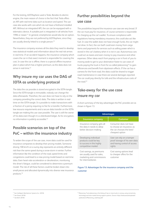For the testing, bIOTAsphere used a Tesla. Besides its electric engine, the main reason of choice is the fact that Tesla offers an API with real-time data such as location and speed. The use case also works with cars which do not have a firsthand installed API. Without an integrated API, the car can be equipped with a telematics device. A suitable port is integrated in all vehicles from 1996 or newer. 51 In general, smartphones would also be an option. Nevertheless, they are not preferred by bIOTAsphere, since they are usually directly linked to a single person.<sup>52</sup>

The insurance company receives all the data they need to develop new statistical models and information about the real risk arrives in real time. If an accident happens, the insurance company which covers the car in that exact moment is responsible for covering the cost. In case the car is offline, there is a special offline insurance plan in place which has a higher premium, as the data does not arrive in real-time. 53

## **Why insure my car uses the DAG of IOTA as underlying protocol**

The data the car provides is stored encrypted in the IOTA-tangle. Since the IOTA-tangle is immutable, nobody can change the data afterwards. Therefore, the user does not have to rely on the company providing the correct data. The data is written in realtime on the IOTA-tangle. It is possible to make transactions with a fraction of a penny requiring no fee for a transfer. Furthermore, low resource requirements and a secure data transfer on the IOTAtangle are making this use case possible. The user is still the owner of his data even though it is a distributed ledger. As for encryption, no information is publicly accessible. 52

## **Possible scenarios on top of the PoC – within the insurance industry**

To widen the scope of the use case, more data could be used for insurance companies to develop their pricing models. Someone driving 100 km/h on a sunny day represents an entirely different risk than the same speed during a snow-storm in winter. Further information like the condition of the road, speed limits and congestions could lead to a new pricing model based on real-time data. Even heart-rate acceleration or deceleration, monitoring the driver's fatigue, could be considered to determine a premium model. The risk of all these factors could be broken down into small pieces and allocated dynamically into diverse new insurance products. 52

## **Further possibilities beyond the use case**

The possibilities beyond the insurance use case are very broad. If the car must pay for insurance, of course someone is responsible for charging up the car's wallet. To ensure compliance with regulations having mandatory insurance, this could also act like fuel. In case the wallet does not have enough funds, the car might not drive. In fact, the car itself could earn money from cargo items and payments for services such as selling power which is stored in the car's battery when it is not in use. Autonomous cars could act as taxies and earn money to pay insurance and other expenses. Other ideas reach from paying a car in front of you to moving aside to get to your destination faster to use cases of trucks paying the truck in front for so-called platooning<sup>54</sup> to gain efficiencies and benefit from slipstream effects. If the car has a camera for the front-road, the data could be shared to trigger road-maintenance in case there are several damages reported. The car could pay directly for tolls and the infrastructure costs of the road. 52

## **Take-away for the use case insure my car**

A short summary of the key advantages the PoC provides are as shown in figure 13.

| <b>Advantages</b>                                                                                           |                                                                                                      |  |  |  |
|-------------------------------------------------------------------------------------------------------------|------------------------------------------------------------------------------------------------------|--|--|--|
| Insurance company                                                                                           | <b>Customer</b>                                                                                      |  |  |  |
| Insurance company gets all<br>the data it needs to allow<br>better decision-making                          | Consumer does not have<br>to choose an insurance, as<br>the car chooses the best/<br>cheapest option |  |  |  |
| Developing individual<br>products could be key<br>to success in this highly<br>competitive market           | User can rely on a tamper<br>proof storage of his own data<br>and having control of access<br>rights |  |  |  |
| Cost savings, as premiums<br>are usually used for sales,<br>marketing and commissions<br>for intermediaries | Cost saving options lead<br>to cheaper offers for the<br>customer                                    |  |  |  |

Figure 13: Advantages for the insurance company and the customer

<sup>51</sup> See Intelligent Mechatronic Systems Inc. (2018)

<sup>52</sup> See Shane (2018)

<sup>53</sup> See Boht (2018)

<sup>54</sup> Platooning: Truck platooning is the linking of two or more trucks in convoy, using connectivity technology and auto-mated driving support systems. (Source: https://www.acea.be/uploads/ publications/Platooning\_roadmap.pdf)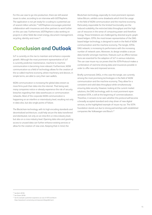For this use case to go into production, there are still several issues to solve, according to an interview with bIOTAsphere. The application is not yet ready for a scaling to a potential use of several million vehicles. 55 bIOTAsphere encourages potential collaboration with insurances and other partners to work further on this use case. Furthermore, bIOTAsphere is also working on projects in other fields like smart energy, document management, recycling, identity and more. 56

## Conclusion and Outlook

IoT is currently on the rise to maintain and enhance corporate growth. Although the most prominent representative of IoT is currently predictive maintenance, machine to machine communication is becoming more relevant. Furthermore, M2M communication as a field of technology allows for the creation of the so-called machine economy, where machinery and devices, in simple terms, are able to carry their own wallets.

M2M communication is increasing the global data stream as more firms push their data into the internet. That being said, many companies notice or already experience the risk of security breaches regarding their data warehouses or communication networks. Most of the corporate M2M communication is happening on an interfirm or interindustry level, resulting not only in data silos, but also single points of failure.

The Blockchain-technology, with its high encoding standards and decentralized architecture, could help secure the data transferred and distributed, not only on an intra-firm or intra-industry level, but also on a cross industry level. Opening data silos and granting access to unused data can further enhance existing services or allow for the creation of new ones. Keeping that in mind, the

Blockchain-technology, especially its most prominent representative Bitcoin, exhibits some drawbacks which limit the usage in the field of M2M communication and the machine economy. Particularly responsible for the limited functionality are the reduced scalability, the restricted data throughput and the high use of resources in the sense of computing power and therefore energy. These limitations are challenged by directed acyclic graphbased ledgers. IOTA, the most known representative of the DAG based ledger technology, is designed to work in the field of M2M communication and the machine economy. The tangle, IOTAs DAG network, is increasing its performance with the increasing number of network users. Moreover, its design enables a secure data transfer amongst machines. Features such as offline transactions are essential for the adaption of IoT in various industries. The use case insure my car proves that the IOTA-Protocol makes a combination of real-time driving-data and insurances possible in order to offer new and improved services.

Briefly summarized, DAGs, in this case the tangle, are currently among the most promising technologies in the field of M2M communication and the machine economy. They allow for a consistent and solid data throughput while simultaneously ensuring data security. However, looking at the current market solutions, the DAG technology, with its most prominent representative IOTA, is still at the beginning of commercialization. Therefore, it remains to be seen whether this protocol will become a broadly accepted standard and a key driver of new digital services, as the highlighted example of insure my car. The IOTA foundation stands out due to strong partnerships with established companies like Volkswagen and Bosch. 57

<sup>55</sup> See Boht (2018)

<sup>56</sup> See Shane (2018)

<sup>57</sup> See for example a potential cooperative use case of IOTA and Bosch: https://www.bosch-connectivity.com/newsroom/blog/xdk2mam/.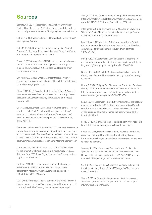## Sources

Barnett Jr., T. (2016, September). The Zettabyte Era Officially Begins (How Much is That?). Retrieved from Cisco: [https://blogs.](https://blogs.cisco.com/sp/the-zettabyte-era-officially-begins-how-much-is-that) [cisco.com/sp/the-zettabyte-era-officially-begins-how-much-is-that](https://blogs.cisco.com/sp/the-zettabyte-era-officially-begins-how-much-is-that)

Bohne, J. (2018). Witness. Retrieved from wiki.obyte.org: [https://](https://wiki.obyte.org/Witness) [wiki.obyte.org/Witness](https://wiki.obyte.org/Witness)

Boht, M. (2018). Developer Insights - Insure My Car Proof of Concept. (J. Molyneux, Interviewer) Retrieved from [https://www.](https://www.linkedin.com/company/the-biotasphere/) [linkedin.com/company/the-biotasphere/](https://www.linkedin.com/company/the-biotasphere/)

Bowles, J. (2018, May). Can IOTA'S blockless blockchain become the IoT standard? Retrieved from diginomica.com: [https://](https://diginomica.com/can-iotas-blockless-blockchain-become-iot-standard/) [diginomica.com/2018/05/02/can-iotas-blockless-blockchain](https://diginomica.com/can-iotas-blockless-blockchain-become-iot-standard/)[become-iot-standard/](https://diginomica.com/can-iotas-blockless-blockchain-become-iot-standard/)

Churyumov, A. (2016). Byteball: A Decentralized System fo Storage and Transfer of Value. Retrieved from https://obyte.org/: <https://obyte.org/Byteball.pdf>

Cisco. (2015, May). Securing the Internet of Things: A Proposed Framework. Retrieved from https://www.cisco.com: [https://www.](https://www.cisco.com/c/en/us/about/security-center/secure-iot-proposed-framework.html) [cisco.com/c/en/us/about/security-center/secure-iot-proposed](https://www.cisco.com/c/en/us/about/security-center/secure-iot-proposed-framework.html)[framework.html](https://www.cisco.com/c/en/us/about/security-center/secure-iot-proposed-framework.html)

Cisco. (2018, November). Cisco Visual Networking Index: Forecast and Trends, 2017–2022. Retrieved from cisco.com: [https://](https://www.cisco.com/c/en/us/solutions/collateral/service-provider/visual-networking-index-vni/white-paper-c11-741490.html#_Toc529314186) [www.cisco.com/c/en/us/solutions/collateral/service-provider/](https://www.cisco.com/c/en/us/solutions/collateral/service-provider/visual-networking-index-vni/white-paper-c11-741490.html#_Toc529314186) [visual-networking-index-vni/white-paper-c11-741490.html#\\_](https://www.cisco.com/c/en/us/solutions/collateral/service-provider/visual-networking-index-vni/white-paper-c11-741490.html#_Toc529314186) [Toc529314186](https://www.cisco.com/c/en/us/solutions/collateral/service-provider/visual-networking-index-vni/white-paper-c11-741490.html#_Toc529314186)

Commonwealth Bank of Australia. (2017, November). Welcome to the machine-to-machine economy - Opportunities and challenges in a connected world. Retrieved from https://www.commbank.com. au: [https://www.commbank.com.au/content/dam/caas/newsroom/](https://www.commbank.com.au/content/dam/caas/newsroom/docs/Commbank-Whitepaper-Machine-to-Machine-economy.pdf) [docs/Commbank-Whitepaper-Machine-to-Machine-economy.pdf](https://www.commbank.com.au/content/dam/caas/newsroom/docs/Commbank-Whitepaper-Machine-to-Machine-economy.pdf)

Conoscenti, M., Vetrò, A., & De Martin, J. C. (2016). Blockchain for the Internet of Things: A systematic literature review. IEEE. Retrieved from IEEE Xplore Digital Library: [https://ieeexplore.ieee.](https://ieeexplore.ieee.org/document/7945805/) [org/document/7945805/](https://ieeexplore.ieee.org/document/7945805/)

Gartner. (2018, December). Magic Quadrant for Managed M2M Services, Worldwide. Retrieved from https://www. gartner.com: [https://www.gartner.com/doc/reprints?id=1-](https://www.gartner.com/doc/reprints?id=1-5P8M88O&ct=181101&st=sb) [5P8M88O&ct=181101&st=sb](https://www.gartner.com/doc/reprints?id=1-5P8M88O&ct=181101&st=sb)

IDC. (2018, November). The Digitization of the World. Retrieved from Seagate.com: [https://www.seagate.com/files/www-content/](https://www.seagate.com/files/www-content/our-story/trends/files/idc-seagate-dataage-whitepaper.pdf) [our-story/trends/files/idc-seagate-dataage-whitepaper.pdf](https://www.seagate.com/files/www-content/our-story/trends/files/idc-seagate-dataage-whitepaper.pdf)

IDG. (2018, April). Studie Internet of Things 2018. Retrieved from https://m2m.telefonica.de: [https://m2m.telefonica.de/wp-content/](https://iot.telefonica.de/wp-content/uploads/2018/01/IoT_Studie_Deutschland_2018.pdf) [uploads/2018/01/IoT\\_Studie\\_Deutschland\\_2018.pdf](https://iot.telefonica.de/wp-content/uploads/2018/01/IoT_Studie_Deutschland_2018.pdf)

Intelligent Mechatronic Systems Inc. (2018, January). What is a Telematics Device? Retrieved from intellimec.com: [https://www.](https://www.intellimec.com/ims-blog/telematics-device) [intellimec.com/ims-blog/telematics-device](https://www.intellimec.com/ims-blog/telematics-device)

Küfner, R. A. (2018, April). DLT & the Financial Industry: Smart Contracts. Retrieved from https://medium.com/: [https://medium.](https://medium.com/nakamo-to/dlt-the-financial-industry-smart-contracts-5051a52cb9a1) [com/nakamo-to/dlt-the-financial-industry-smart-contracts-](https://medium.com/nakamo-to/dlt-the-financial-industry-smart-contracts-5051a52cb9a1)[5051a52cb9a1](https://medium.com/nakamo-to/dlt-the-financial-industry-smart-contracts-5051a52cb9a1)

Moog, H. (2018, September). Coming Up: Local Snapshots - A development status update. Retrieved from blog.iota.org: [https://](https://blog.iota.org/coming-up-local-snapshots-7018ff0ed5db) [blog.iota.org/coming-up-local-snapshots-7018ff0ed5db](https://blog.iota.org/coming-up-local-snapshots-7018ff0ed5db)

Nakamoto, S. (2008, October). Bitcoin: A Peer-to-Peer Electronic Cash System. Retrieved from www.bitcoin.org: [https://bitcoin.org/](https://bitcoin.org/bitcoin.pdf) [bitcoin.pdf](https://bitcoin.org/bitcoin.pdf)

Nazrul, S. S. (2018, April). CAP Theorem and Distributed Database Management Systems. Retrieved from towardsdatascience.com: [https://towardsdatascience.com/cap-theorem-and-distributed](https://towardsdatascience.com/cap-theorem-and-distributed-database-management-systems-5c2be977950e)[database-management-systems-5c2be977950e](https://towardsdatascience.com/cap-theorem-and-distributed-database-management-systems-5c2be977950e)

Paul, F. (2018, September). Is predictive maintenance the 'gateway drug' to the Industrial IoT? Retrieved from www.NetworkWorld. com: [https://www.networkworld.com/article/3305952/internet](https://www.networkworld.com/article/3305952/is-predictive-maintenance-the-gateway-drug-to-the-industrial-iot.html)[of-things/is-predictive-maintenance-the-gateway-drug-to-the](https://www.networkworld.com/article/3305952/is-predictive-maintenance-the-gateway-drug-to-the-industrial-iot.html)[industrial-iot.html](https://www.networkworld.com/article/3305952/is-predictive-maintenance-the-gateway-drug-to-the-industrial-iot.html)

Popov, S. (2018, April). The Tangle. Retrieved from IOTA Academic Papers:<https://www.iota.org/research/academic-papers>

Rouse, M. (2018, March). M2M economy (machine-to-machine economy) . Retrieved from https://whatis.techtarget.com/: [https://whatis.techtarget.com/definition/M2M-economy-machine](https://whatis.techtarget.com/definition/M2M-economy-machine-to-machine-economy)[to-machine-economy](https://whatis.techtarget.com/definition/M2M-economy-machine-to-machine-economy)

Sameeh, T. (2016, December). Two New Models For Double Spending Attacks On Bitcoin's Blockchain. Retrieved from Deep. Dot.Web: [https://www.deepdotweb.com/2016/12/31/two-new](https://www.deepdotweb.com/2016/12/31/two-new-models-double-spending-attacks-bitcoins-blockchain/)[models-double-spending-attacks-bitcoins-blockchain/](https://www.deepdotweb.com/2016/12/31/two-new-models-double-spending-attacks-bitcoins-blockchain/)

Scott, J. (2017, March). IOTA Consensus Masterclass. Retrieved from forum.iota.org: [https://forum.IOTA.org/t/IOTA-consensus](https://forum.iota.org/t/iota-consensus-masterclass/1193)[masterclass/1193](https://forum.iota.org/t/iota-consensus-masterclass/1193)

Shane, T. (2018). Insure My Car: A deeper dive interview with Terry Shane, Founder of bIOTAsphere. Retrieved from [https://](https://insuremycar.biotasphere.com) [insuremycar.biotasphere.com/](https://insuremycar.biotasphere.com)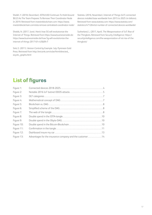Sheikh, Y. (2018, December). IOTA/USD Continues To Hold Around \$0.23 As The Team Prepares To Remove Their Coordinator Node In 2019. Retrieved from investinblockchain.com: [https://www.](https://www.investinblockchain.com/iota-remove-centralized-coordinator-node/) [investinblockchain.com/iota-remove-centralized-coordinator-node/](https://www.investinblockchain.com/iota-remove-centralized-coordinator-node/)

Shields, N. (2017, June). Here's how 5G will revolutionize the Internet of Things. Retrieved from https://www.businessinsider.de: [https://www.businessinsider.de/how-5g-will-revolutionize-the](https://www.businessinsider.de/how-5g-will-revolutionize-the-internet-of-things-2017-6?r=US&IR=T)[internet-of-things-2017-6?r=US&IR=T](https://www.businessinsider.de/how-5g-will-revolutionize-the-internet-of-things-2017-6?r=US&IR=T)

Sink, E. (2011). Version Control by Example. July: Pyrenean Gold Press. Retrieved from [http://ericsink.com/vcbe/html/directed\\_](https://ericsink.com/vcbe/html/directed_acyclic_graphs.html) [acyclic\\_graphs.html](https://ericsink.com/vcbe/html/directed_acyclic_graphs.html)

Statista. (2016, November). Internet of Things (IoT) connected devices installed base worldwide from 2015 to 2025 (in billions). Retrieved from www.statista.com[: https://www.statista.com/](https://www.statista.com/statistics/471264/iot-number-of-connected-devices-worldwide/) [statistics/471264/iot-number-of-connected-devices-worldwide/](https://www.statista.com/statistics/471264/iot-number-of-connected-devices-worldwide/)

Sutherland, L. (2017, April). The Weaponization of IoT: Rise of the Thingbots. Retrieved from Security Intelligence: [https://](https://securityintelligence.com/the-weaponization-of-iot-rise-of-the-thingbots/) [securityintelligence.com/the-weaponization-of-iot-rise-of-the](https://securityintelligence.com/the-weaponization-of-iot-rise-of-the-thingbots/)[thingbots/](https://securityintelligence.com/the-weaponization-of-iot-rise-of-the-thingbots/)

## List of figures

| Figure 1:  |                                                         |  |
|------------|---------------------------------------------------------|--|
| Figure 2:  |                                                         |  |
| Figure 3:  |                                                         |  |
| Figure 4:  |                                                         |  |
| Figure 5:  |                                                         |  |
| Figure 6:  |                                                         |  |
| Figure 7:  |                                                         |  |
| Figure 8:  |                                                         |  |
| Figure 9:  |                                                         |  |
| Figure 10: |                                                         |  |
| Figure 11: |                                                         |  |
| Figure 12: |                                                         |  |
| Figure 13: | Advantages for the insurance company and the customer14 |  |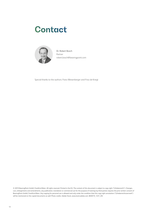# **Contact**



Dr. Robert Bosch Partner robert.bosch@bearingpoint.com

Special thanks to the authors: Franz Weisenberger and Friso de Knegt

© 2019 BearingPoint GmbH, Frankfurt/Main. All rights reserved. Printed in the EU. The content of this document is subject to copy right ("Urheberrecht"). Changes, cuts, enlargements and amendments, any publication, translation or commercial use for the purpose of trainings by third parties requires the prior written consent of BearingPoint GmbH, Frankfurt/Main. Any copying for personal use is allowed and only under the condition that this copy right annotation ("Urheberrechtsvermerk") will be mentioned on the copied documents as well. Photo credits: Adobe Stock, www.stock.adobe.com. BEDE19\_1231\_EN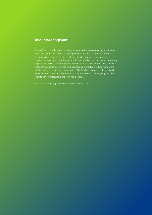#### **About BearingPoint**

BearingPoint is an independent management and technology consultancy with European roots and a global reach. The company operates in four units: Consulting, Solutions, Business Services, and Ventures. Consulting covers the advisory business; Solutions provides the tools for successful digital transformation, advanced analytics and regulatory requirements; Business Services provides managed services beyond SaaS; Ventures drives the financing and development of start-ups. BearingPoint's clients include many of the world's leading companies and organizations. The firm has a global consulting network with more than 10,000 people and supports clients in over 75 countries, engaging with them to achieve measurable and sustainable success.

For more information, please visit: www.bearingpoint.com